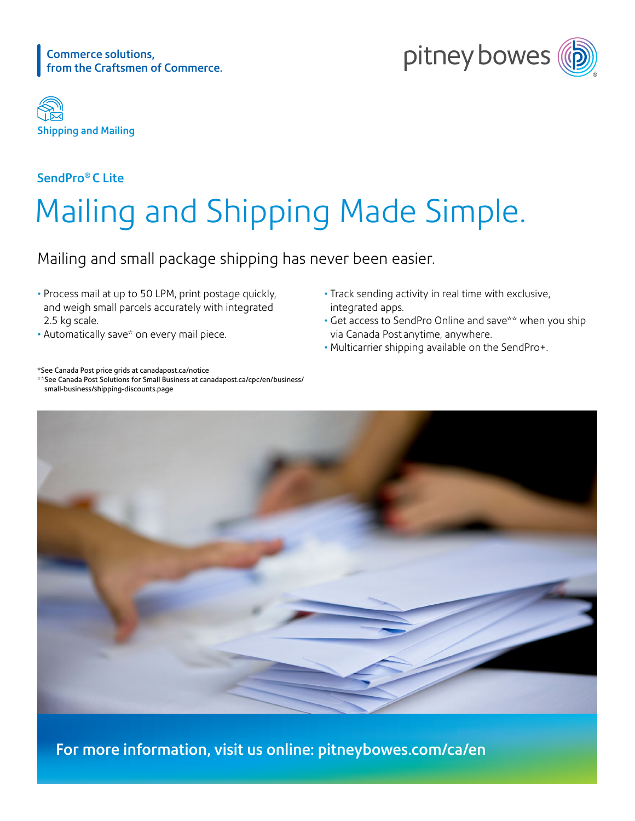





### SendPro® C Lite

# Mailing and Shipping Made Simple.

Mailing and small package shipping has never been easier.

- Process mail at up to 50 LPM, print postage quickly, and weigh small parcels accurately with integrated 2.5 kg scale.
- Automatically save\* on every mail piece.
- Track sending activity in real time with exclusive, integrated apps.
- Get access to SendPro Online and save\*\* when you ship via Canada Post anytime, anywhere.
- Multicarrier shipping available on the SendPro+.



\*\*See Canada Post Solutions for Small Business at [canadapost.ca/cpc/en/business/](https://www.canadapost.ca/cpc/en/business/small-business/shipping-discounts.page) [small-business/shipping-discounts.page](https://www.canadapost.ca/cpc/en/business/small-business/shipping-discounts.page)



For more information, visit us online: [pitneybowes.com/ca/en](https://www.pitneybowes.com/ca/en/shipping-and-mailing/postage-meters.html)